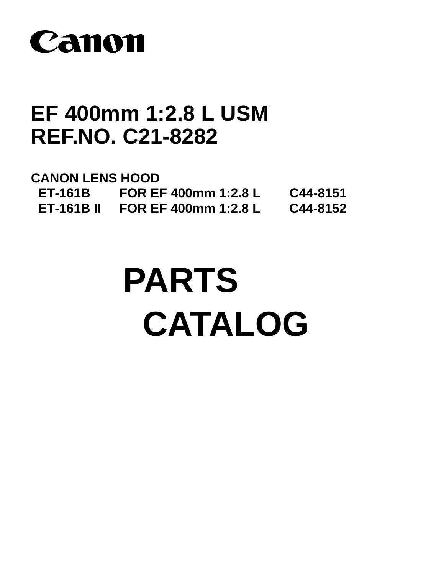

# **EF 400mm 1:2.8 L USM REF.NO. C21-8282**

**CANON LENS HOOD ET-161B FOR EF 400mm 1:2.8 L C44-8151 ET-161B II FOR EF 400mm 1:2.8 L C44-8152**

# **PARTS CATALOG**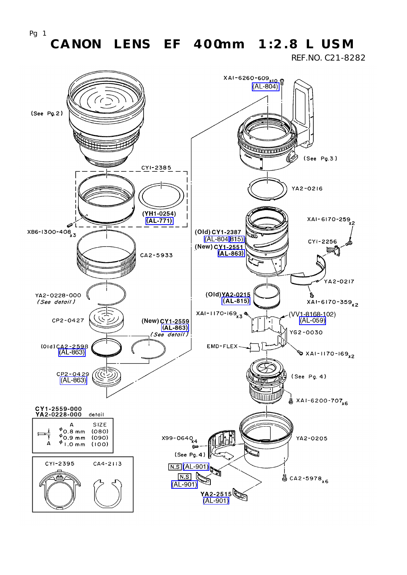REF.NO. C21-8282

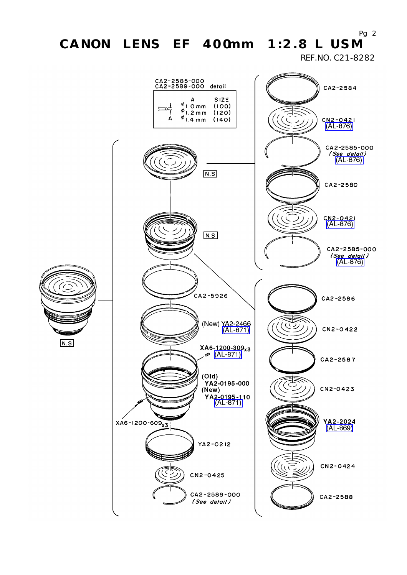REF.NO. C21-8282



Pg  $2$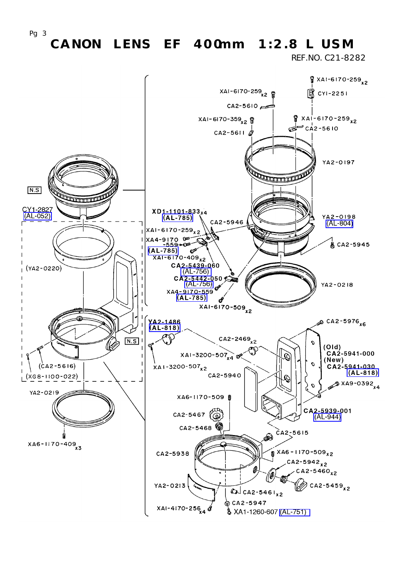REF.NO. C21-8282

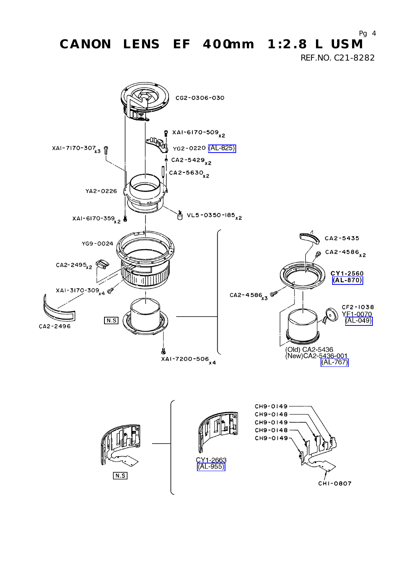REF.NO. C21-8282

Pg  $4$ 

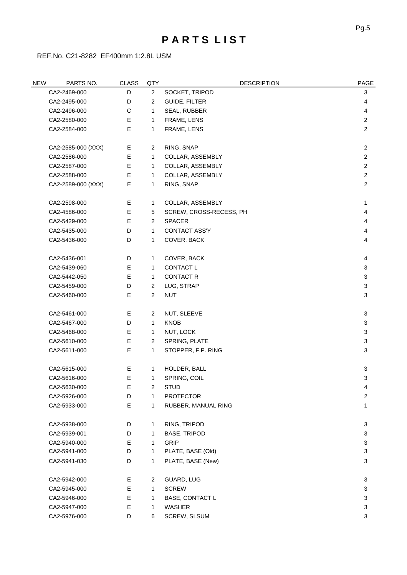#### **P A R T S L I S T**

REF.No. C21-8282 EF400mm 1:2.8L USM

| <b>NEW</b>   | PARTS NO.                                         | <b>CLASS</b> | QTY            | <b>DESCRIPTION</b>     | <b>PAGE</b>    |
|--------------|---------------------------------------------------|--------------|----------------|------------------------|----------------|
|              | CA2-2469-000                                      | D            | $\overline{2}$ | SOCKET, TRIPOD         | 3              |
| CA2-2495-000 |                                                   | D            | $\overline{2}$ | <b>GUIDE, FILTER</b>   | 4              |
| CA2-2496-000 |                                                   | С            | 1              | SEAL, RUBBER           | 4              |
| CA2-2580-000 |                                                   | E            | $\mathbf{1}$   | FRAME, LENS            | $\overline{2}$ |
|              | CA2-2584-000                                      | E            | 1              | FRAME, LENS            | $\overline{2}$ |
|              | CA2-2585-000 (XXX)                                | Е            | $\overline{2}$ | RING, SNAP             | $\overline{2}$ |
|              | CA2-2586-000                                      | E            | $\mathbf{1}$   | COLLAR, ASSEMBLY       | $\overline{2}$ |
|              | CA2-2587-000                                      | Е            | $\mathbf{1}$   | COLLAR, ASSEMBLY       | $\overline{2}$ |
|              | CA2-2588-000                                      | Е            | $\mathbf{1}$   | COLLAR, ASSEMBLY       | $\overline{2}$ |
|              | CA2-2589-000 (XXX)                                | Е            | 1              | RING, SNAP             | $\overline{c}$ |
|              | CA2-2598-000                                      | Е            | 1              | COLLAR, ASSEMBLY       | 1              |
|              | E<br>CA2-4586-000<br>SCREW, CROSS-RECESS, PH<br>5 |              |                | 4                      |                |
|              | CA2-5429-000                                      | E            | $\overline{2}$ | <b>SPACER</b>          | 4              |
|              | CA2-5435-000                                      | D            | $\mathbf{1}$   | CONTACT ASS'Y          | 4              |
|              | CA2-5436-000                                      | D            | 1              | COVER, BACK            | 4              |
|              | CA2-5436-001                                      | D            | 1              | COVER, BACK            | 4              |
|              | CA2-5439-060                                      | Е            | $\mathbf{1}$   | CONTACT L              | 3              |
|              | CA2-5442-050                                      | E            | $\mathbf{1}$   | <b>CONTACT R</b>       | 3              |
|              | CA2-5459-000                                      | D            | $\overline{2}$ | LUG, STRAP             | 3              |
|              | CA2-5460-000                                      | E            | $\overline{2}$ | <b>NUT</b>             | 3              |
|              | CA2-5461-000                                      | Е            | $\overline{2}$ | NUT, SLEEVE            | 3              |
|              | CA2-5467-000                                      | D            | $\mathbf{1}$   | <b>KNOB</b>            | $\sqrt{3}$     |
|              | CA2-5468-000                                      | Е            | $\mathbf{1}$   | NUT, LOCK              | 3              |
|              | CA2-5610-000                                      | E            | $\overline{2}$ | SPRING, PLATE          | 3              |
|              | CA2-5611-000                                      | E            | 1              | STOPPER, F.P. RING     | 3              |
|              | CA2-5615-000                                      | Е            | 1              | HOLDER, BALL           | 3              |
|              | CA2-5616-000                                      | E            | 1              | SPRING, COIL           | 3              |
|              | CA2-5630-000                                      | Е            | $\overline{c}$ | <b>STUD</b>            | 4              |
|              | CA2-5926-000                                      | D            | 1              | <b>PROTECTOR</b>       | $\overline{c}$ |
|              | CA2-5933-000                                      | E            | 1              | RUBBER, MANUAL RING    | 1              |
|              | CA2-5938-000                                      | D            | 1              | RING, TRIPOD           | 3              |
|              | CA2-5939-001                                      | D            | 1              | <b>BASE, TRIPOD</b>    | 3              |
|              | CA2-5940-000                                      | E.           | 1              | <b>GRIP</b>            | 3              |
|              | CA2-5941-000                                      | D            | $\mathbf{1}$   | PLATE, BASE (Old)      | 3              |
|              | CA2-5941-030                                      | D            | 1              | PLATE, BASE (New)      | 3              |
|              | CA2-5942-000                                      | Е            | $\overline{2}$ | GUARD, LUG             | 3              |
|              | CA2-5945-000                                      | E            | 1              | <b>SCREW</b>           | 3              |
|              | CA2-5946-000                                      | E            | 1              | <b>BASE, CONTACT L</b> | 3              |
|              | CA2-5947-000                                      | E            | 1              | WASHER                 | 3              |
|              | CA2-5976-000                                      | D            | 6              | SCREW, SLSUM           | 3              |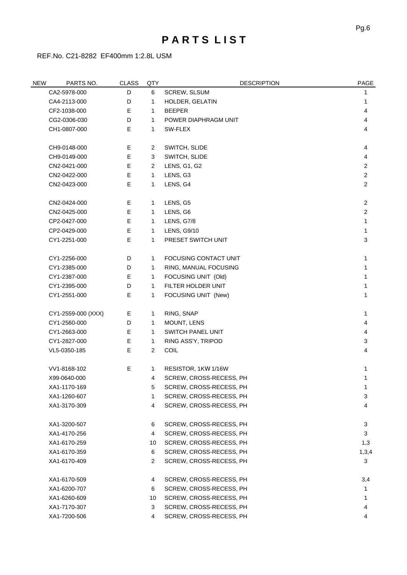#### **P A R T S L I S T**

REF.No. C21-8282 EF400mm 1:2.8L USM

| <b>NEW</b>   | PARTS NO.          | <b>CLASS</b> | QTY            | <b>DESCRIPTION</b>       | PAGE           |
|--------------|--------------------|--------------|----------------|--------------------------|----------------|
|              | CA2-5978-000       | D            | 6              | <b>SCREW, SLSUM</b>      | 1              |
| CA4-2113-000 |                    | D            | 1              | HOLDER, GELATIN          | 1              |
|              | CF2-1038-000       |              | 1              | <b>BEEPER</b>            | 4              |
| CG2-0306-030 |                    | D            | $\mathbf{1}$   | POWER DIAPHRAGM UNIT     | 4              |
|              | CH1-0807-000       |              | 1              | SW-FLEX                  | 4              |
|              |                    |              |                |                          |                |
|              | CH9-0148-000       | Е            | $\overline{2}$ | SWITCH, SLIDE            | 4              |
|              | CH9-0149-000       | E            | 3              | SWITCH, SLIDE            | 4              |
|              | CN2-0421-000       | Е            | 2              | LENS, G1, G2             | 2              |
|              | CN2-0422-000       | E            | $\mathbf{1}$   | LENS, G3                 | $\overline{2}$ |
|              | CN2-0423-000       | E            | 1              | LENS, G4                 | $\overline{2}$ |
|              | CN2-0424-000       | Е            | 1              | LENS, G5                 | $\overline{c}$ |
|              | CN2-0425-000       | E            | 1              | LENS, G6                 | $\overline{2}$ |
|              | CP2-0427-000       | Е            | 1              | LENS, G7/8               | 1              |
|              | CP2-0429-000       | E            | $\mathbf{1}$   | LENS, G9/10              | 1              |
|              | CY1-2251-000       | E            | 1              | PRESET SWITCH UNIT       | 3              |
|              | CY1-2256-000       | D            | $\mathbf{1}$   | FOCUSING CONTACT UNIT    | 1              |
|              | CY1-2385-000       | D            | $\mathbf{1}$   | RING, MANUAL FOCUSING    | 1              |
|              | CY1-2387-000       | Е            | 1              | FOCUSING UNIT (Old)      | 1              |
|              | CY1-2395-000       | D            | 1              | FILTER HOLDER UNIT       | 1              |
|              | CY1-2551-000       | E            | 1              | FOCUSING UNIT (New)      | 1              |
|              | CY1-2559-000 (XXX) | Е            | 1              | RING, SNAP               | 1              |
|              | CY1-2560-000       | D            | $\mathbf{1}$   | MOUNT, LENS              | 4              |
|              | CY1-2663-000       | Е            | 1              | <b>SWITCH PANEL UNIT</b> | 4              |
|              | CY1-2827-000       | Е            | 1              | RING ASS'Y, TRIPOD       | 3              |
|              | VL5-0350-185       | Е            | $\overline{2}$ | COIL                     | 4              |
|              | VV1-8168-102       | Е            | 1              | RESISTOR, 1KW 1/16W      | 1              |
|              | X99-0640-000       |              | 4              | SCREW, CROSS-RECESS, PH  | 1              |
|              | XA1-1170-169       |              | 5              | SCREW, CROSS-RECESS, PH  | 1              |
|              | XA1-1260-607       |              | 1              | SCREW, CROSS-RECESS, PH  | 3              |
|              | XA1-3170-309       |              | 4              | SCREW, CROSS-RECESS, PH  | 4              |
|              | XA1-3200-507       |              | 6              | SCREW, CROSS-RECESS, PH  | 3              |
|              | XA1-4170-256       |              | 4              | SCREW, CROSS-RECESS, PH  | 3              |
|              | XA1-6170-259       |              | 10             | SCREW, CROSS-RECESS, PH  | 1,3            |
|              | XA1-6170-359       |              | 6              | SCREW, CROSS-RECESS, PH  | 1,3,4          |
|              | XA1-6170-409       |              | $\overline{a}$ | SCREW, CROSS-RECESS, PH  | 3              |
|              | XA1-6170-509       |              | 4              | SCREW, CROSS-RECESS, PH  | 3,4            |
|              | XA1-6200-707       |              | 6              | SCREW, CROSS-RECESS, PH  |                |
|              | XA1-6260-609       |              | 10             | SCREW, CROSS-RECESS, PH  | 1              |
|              | XA1-7170-307       |              | 3              | SCREW, CROSS-RECESS, PH  | 4              |
|              | XA1-7200-506       |              | 4              | SCREW, CROSS-RECESS, PH  | 4              |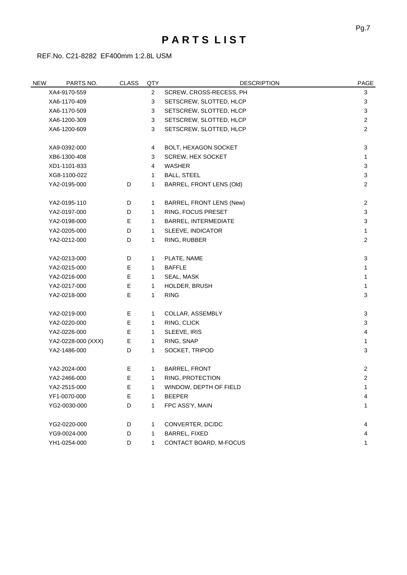#### **P A R T S L I S T**

REF.No. C21-8282 EF400mm 1:2.8L USM

| <b>NEW</b>   | PARTS NO.                                               | <b>CLASS</b>                       | QTY            | <b>DESCRIPTION</b>          | PAGE           |
|--------------|---------------------------------------------------------|------------------------------------|----------------|-----------------------------|----------------|
| XA4-9170-559 |                                                         |                                    | $\overline{2}$ | SCREW, CROSS-RECESS, PH     | 3              |
|              | XA6-1170-409                                            |                                    | 3              | SETSCREW, SLOTTED, HLCP     | 3              |
|              | XA6-1170-509                                            |                                    | 3              | SETSCREW, SLOTTED, HLCP     | 3              |
|              | XA6-1200-309                                            |                                    | 3              | SETSCREW, SLOTTED, HLCP     | $\overline{2}$ |
|              | XA6-1200-609                                            |                                    | 3              | SETSCREW, SLOTTED, HLCP     | $\overline{2}$ |
|              | XA9-0392-000                                            |                                    | 4              | BOLT, HEXAGON SOCKET        | 3              |
|              | XB6-1300-408                                            |                                    | 3              | SCREW, HEX SOCKET           | 1              |
|              | XD1-1101-833                                            |                                    | 4              | WASHER                      | 3              |
|              | XG8-1100-022                                            | <b>BALL, STEEL</b><br>$\mathbf{1}$ |                | 3                           |                |
|              | YA2-0195-000                                            | D                                  | 1              | BARREL, FRONT LENS (Old)    | 2              |
|              | YA2-0195-110                                            | D                                  | 1              | BARREL, FRONT LENS (New)    | $\overline{2}$ |
|              | YA2-0197-000<br>D<br>$\mathbf{1}$<br>RING, FOCUS PRESET |                                    | 3              |                             |                |
|              | YA2-0198-000<br>Е                                       |                                    | 1              | <b>BARREL, INTERMEDIATE</b> | 3              |
|              | D<br>YA2-0205-000                                       |                                    | $\mathbf{1}$   | SLEEVE, INDICATOR           | 1              |
|              | YA2-0212-000                                            | D                                  | 1              | RING, RUBBER                | 2              |
|              | YA2-0213-000                                            | D                                  | $\mathbf{1}$   | PLATE, NAME                 | 3              |
|              | YA2-0215-000                                            | Е                                  | 1              | <b>BAFFLE</b>               | 1              |
|              | YA2-0216-000                                            | Е                                  | $\mathbf{1}$   | SEAL, MASK                  | 1              |
|              | YA2-0217-000                                            | Е                                  | $\mathbf{1}$   | HOLDER, BRUSH               | 1              |
|              | YA2-0218-000                                            | E                                  | 1              | <b>RING</b>                 | 3              |
|              | YA2-0219-000                                            | Е                                  | $\mathbf{1}$   | COLLAR, ASSEMBLY            | 3              |
|              | YA2-0220-000                                            | Е                                  | $\mathbf{1}$   | RING, CLICK                 | 3              |
|              | YA2-0226-000                                            | Е                                  | $\mathbf{1}$   | SLEEVE, IRIS                | 4              |
|              | YA2-0228-000 (XXX)                                      | E                                  | $\mathbf{1}$   | RING, SNAP                  | 1              |
|              | YA2-1486-000                                            | D                                  | 1              | SOCKET, TRIPOD              | 3              |
|              | YA2-2024-000                                            | Е                                  | $\mathbf{1}$   | <b>BARREL, FRONT</b>        | $\overline{c}$ |
|              | YA2-2466-000                                            | Е                                  | 1              | RING, PROTECTION            | $\sqrt{2}$     |
|              | YA2-2515-000                                            | Ε                                  | 1              | WINDOW, DEPTH OF FIELD      | 1              |
|              | YF1-0070-000                                            | Ε                                  | 1              | <b>BEEPER</b>               | 4              |
|              | YG2-0030-000                                            | D                                  | 1              | FPC ASS'Y, MAIN             | 1              |
|              | YG2-0220-000                                            | D                                  | $\mathbf{1}$   | CONVERTER, DC/DC            | 4              |
|              | YG9-0024-000                                            | D                                  | 1              | BARREL, FIXED               | 4              |
|              | YH1-0254-000                                            | D                                  | $\mathbf{1}$   | CONTACT BOARD, M-FOCUS      | 1              |
|              |                                                         |                                    |                |                             |                |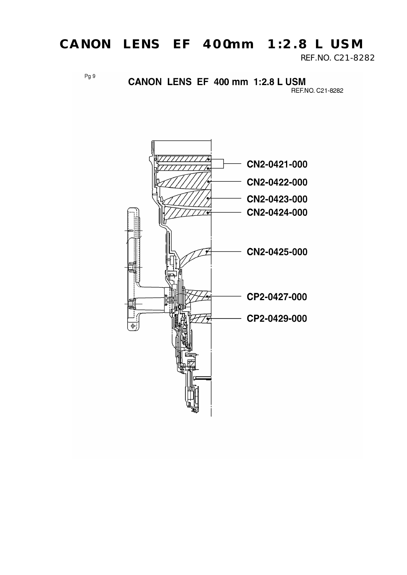REF.NO. C21-8282

 $Pg9$ 

#### CANON LENS EF 400 mm 1:2.8 L USM

REF.NO. C21-8282

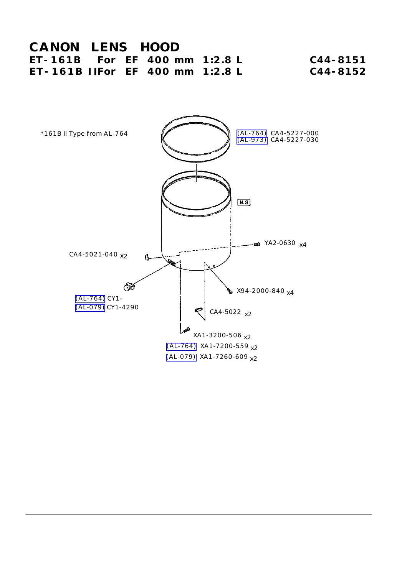#### **CANON LENS HOOD ET-161B For EF 400 mm 1:2.8 L C44-8151 ET-161B IIFor EF 400 mm 1:2.8 L C44-8152**